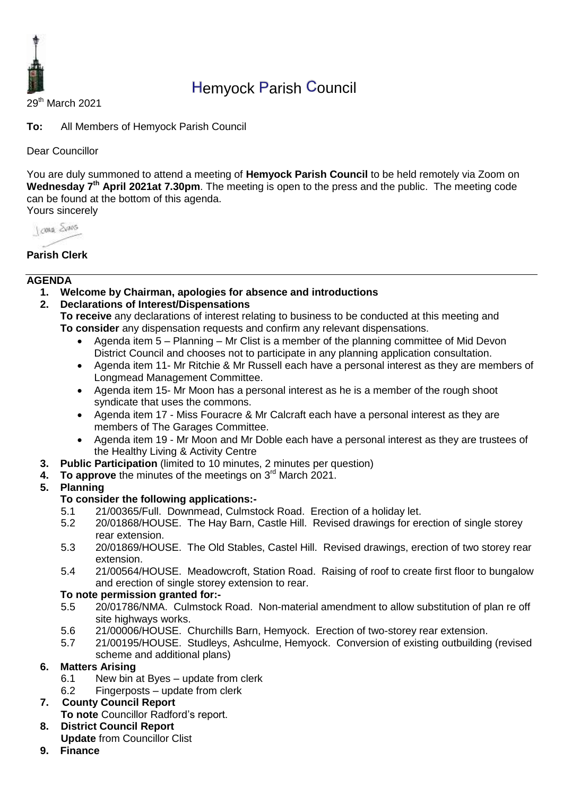

# Hemyock Parish Council

29th March 2021

**To:** All Members of Hemyock Parish Council

Dear Councillor

You are duly summoned to attend a meeting of **Hemyock Parish Council** to be held remotely via Zoom on Wednesday 7<sup>th</sup> April 2021at 7.30pm. The meeting is open to the press and the public. The meeting code can be found at the bottom of this agenda. Yours sincerely

Journal Shans

## **Parish Clerk**

#### **AGENDA**

- **1. Welcome by Chairman, apologies for absence and introductions**
- **2. Declarations of Interest/Dispensations**

**To receive** any declarations of interest relating to business to be conducted at this meeting and **To consider** any dispensation requests and confirm any relevant dispensations.

- Agenda item 5 Planning Mr Clist is a member of the planning committee of Mid Devon District Council and chooses not to participate in any planning application consultation.
- Agenda item 11- Mr Ritchie & Mr Russell each have a personal interest as they are members of Longmead Management Committee.
- Agenda item 15- Mr Moon has a personal interest as he is a member of the rough shoot syndicate that uses the commons.
- Agenda item 17 Miss Fouracre & Mr Calcraft each have a personal interest as they are members of The Garages Committee.
- Agenda item 19 Mr Moon and Mr Doble each have a personal interest as they are trustees of the Healthy Living & Activity Centre
- **3. Public Participation** (limited to 10 minutes, 2 minutes per question)
- **4. To approve** the minutes of the meetings on 3<sup>rd</sup> March 2021.

## **5. Planning**

## **To consider the following applications:-**

- 5.1 21/00365/Full. Downmead, Culmstock Road. Erection of a holiday let.
- 5.2 20/01868/HOUSE. The Hay Barn, Castle Hill. Revised drawings for erection of single storey rear extension.
- 5.3 20/01869/HOUSE. The Old Stables, Castel Hill. Revised drawings, erection of two storey rear extension.
- 5.4 21/00564/HOUSE. Meadowcroft, Station Road. Raising of roof to create first floor to bungalow and erection of single storey extension to rear.

#### **To note permission granted for:-**

- 5.5 20/01786/NMA. Culmstock Road. Non-material amendment to allow substitution of plan re off site highways works.
- 5.6 21/00006/HOUSE. Churchills Barn, Hemyock. Erection of two-storey rear extension.
- 5.7 21/00195/HOUSE. Studleys, Ashculme, Hemyock. Conversion of existing outbuilding (revised scheme and additional plans)

## **6. Matters Arising**

- 6.1 New bin at Byes update from clerk
- 6.2 Fingerposts update from clerk

## **7. County Council Report**

- **To note** Councillor Radford's report.
- **8. District Council Report Update** from Councillor Clist
- **9. Finance**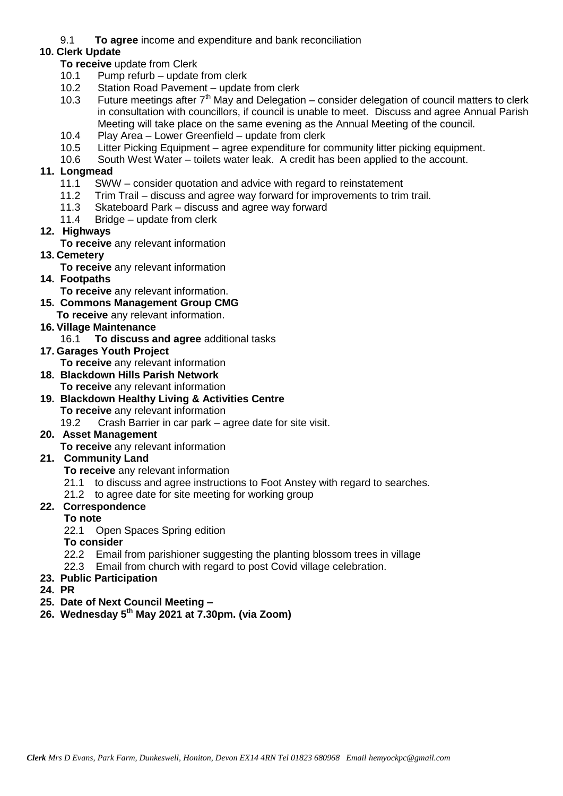9.1 **To agree** income and expenditure and bank reconciliation

## **10. Clerk Update**

**To receive** update from Clerk

- 10.1 Pump refurb update from clerk
- 10.2 Station Road Pavement update from clerk<br>10.3 Future meetings after  $7<sup>th</sup>$  May and Delegation
- Future meetings after  $7<sup>th</sup>$  May and Delegation consider delegation of council matters to clerk in consultation with councillors, if council is unable to meet. Discuss and agree Annual Parish Meeting will take place on the same evening as the Annual Meeting of the council.
- 10.4 Play Area Lower Greenfield update from clerk
- 10.5 Litter Picking Equipment agree expenditure for community litter picking equipment.
- 10.6 South West Water toilets water leak. A credit has been applied to the account.

## **11. Longmead**

- 11.1 SWW consider quotation and advice with regard to reinstatement
- 11.2 Trim Trail discuss and agree way forward for improvements to trim trail.
- 11.3 Skateboard Park discuss and agree way forward
- 11.4 Bridge update from clerk
- **12. Highways**
	- **To receive** any relevant information
- **13. Cemetery** 
	- **To receive** any relevant information
- **14. Footpaths**
	- **To receive** any relevant information.
- **15. Commons Management Group CMG**
	- **To receive** any relevant information.
- **16. Village Maintenance**
	- 16.1 **To discuss and agree** additional tasks
- **17. Garages Youth Project** 
	- **To receive** any relevant information
- **18. Blackdown Hills Parish Network To receive** any relevant information
- **19. Blackdown Healthy Living & Activities Centre**
	- **To receive** any relevant information
	- 19.2 Crash Barrier in car park agree date for site visit.
- **20. Asset Management** 
	- **To receive** any relevant information

# **21. Community Land**

- **To receive** any relevant information
- 21.1 to discuss and agree instructions to Foot Anstey with regard to searches.
- 21.2 to agree date for site meeting for working group

## **22. Correspondence**

## **To note**

- 22.1 Open Spaces Spring edition
- **To consider**
- 22.2 Email from parishioner suggesting the planting blossom trees in village
- 22.3 Email from church with regard to post Covid village celebration.
- **23. Public Participation**
- **24. PR**
- **25. Date of Next Council Meeting –**
- **26. Wednesday 5 th May 2021 at 7.30pm. (via Zoom)**